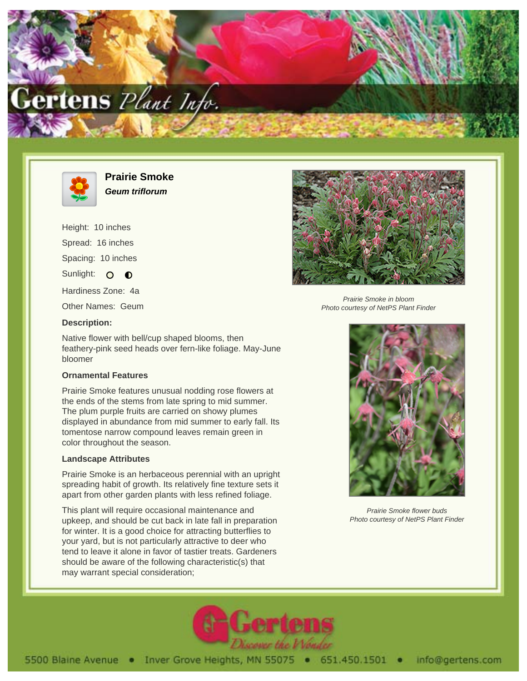



**Prairie Smoke Geum triflorum**

Height: 10 inches Spread: 16 inches Spacing: 10 inches Sunlight: O **O** Hardiness Zone: 4a Other Names: Geum



Prairie Smoke in bloom Photo courtesy of NetPS Plant Finder

**Description:**

Native flower with bell/cup shaped blooms, then feathery-pink seed heads over fern-like foliage. May-June bloomer

## **Ornamental Features**

Prairie Smoke features unusual nodding rose flowers at the ends of the stems from late spring to mid summer. The plum purple fruits are carried on showy plumes displayed in abundance from mid summer to early fall. Its tomentose narrow compound leaves remain green in color throughout the season.

## **Landscape Attributes**

Prairie Smoke is an herbaceous perennial with an upright spreading habit of growth. Its relatively fine texture sets it apart from other garden plants with less refined foliage.

This plant will require occasional maintenance and upkeep, and should be cut back in late fall in preparation for winter. It is a good choice for attracting butterflies to your yard, but is not particularly attractive to deer who tend to leave it alone in favor of tastier treats. Gardeners should be aware of the following characteristic(s) that may warrant special consideration;



Prairie Smoke flower buds Photo courtesy of NetPS Plant Finder